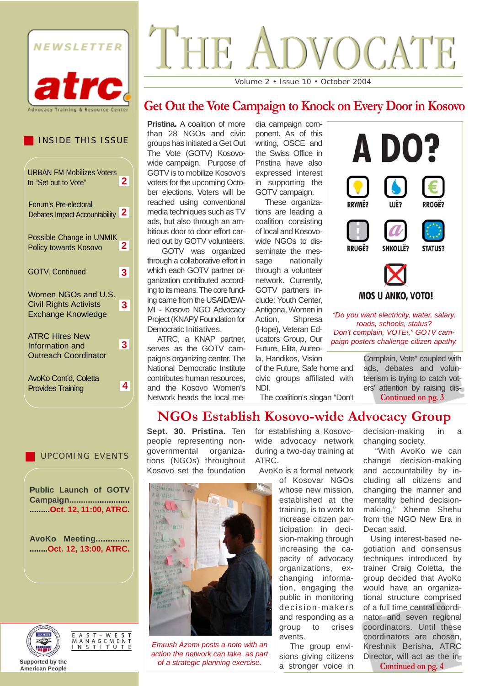

INSIDE THIS ISSUE

**2**

**3**

**3**

URBAN FM Mobilizes Voters

Debates Impact Accountability **2**

Possible Change in UNMIK Policy towards Kosovo **2**

GOTV, Continued **3**

Women NGOs and U.S. Civil Rights Activists Exchange Knowledge

to "Set out to Vote"

Forum's Pre-electoral

ATRC Hires New Information and Outreach Coordinator

AvoKo Cont'd, Coletta

Provides Training **4**

# $T$  HE  $A$ **OVOCATE** Volume 2 • Issue 10 • October 2004

## **Get Out the Vote Campaign to Knock on Every Door in Kosovo**

**Pristina.** A coalition of more than 28 NGOs and civic groups has initiated a Get Out The Vote (GOTV) Kosovowide campaign. Purpose of GOTV is to mobilize Kosovo's voters for the upcoming October elections. Voters will be reached using conventional media techniques such as TV ads, but also through an ambitious door to door effort carried out by GOTV volunteers.

GOTV was organized through a collaborative effort in which each GOTV partner organization contributed according to its means. The core funding came from the USAID/EW-MI - Kosovo NGO Advocacy Project (KNAP)/ Foundation for Democratic Initiatives.

ATRC, a KNAP partner, serves as the GOTV campaign's organizing center. The National Democratic Institute contributes human resources, and the Kosovo Women's Network heads the local media campaign component. As of this writing, OSCE and the Swiss Office in Pristina have also expressed interest in supporting the GOTV campaign.

These organizations are leading a coalition consisting of local and Kosovowide NGOs to disseminate the message nationally through a volunteer network. Currently, GOTV partners include: Youth Center, Antigona, Women in Action, Shpresa (Hope), Veteran Educators Group, Our Future, Elita, Aureo-

la, Handikos, Vision of the Future, Safe home and civic groups affiliated with NDI.

The coalition's slogan "Don't

**AD0? RRYMË?** IIIË? **RROGË? RRIIGË? SHKOLLË? STATUS? MOS U ANKO, VOTO!** *"Do you want electricity, water, salary, roads, schools, status? Don't complain, VOTE!," GOTV campaign posters challenge citizen apathy.* 

> Complain, Vote" coupled with ads, debates and volunteerism is trying to catch voters' attention by raising dis-**Continued on pg. 3**

**NGOs Establish Kosovo-wide Advocacy Group**

**Sept. 30. Pristina.** Ten people representing nongovernmental organizations (NGOs) throughout Kosovo set the foundation



*Emrush Azemi posts a note with an action the network can take, as part of a strategic planning exercise.*

for establishing a Kosovowide advocacy network during a two-day training at ATRC.

AvoKo is a formal network

of Kosovar NGOs whose new mission, established at the training, is to work to increase citizen participation in decision-making through increasing the capacity of advocacy organizations, exchanging information, engaging the public in monitoring decision-makers and responding as a group to crises events.

The group envisions giving citizens a stronger voice in decision-making in a changing society.

"With AvoKo we can change decision-making and accountability by including all citizens and changing the manner and mentality behind decisionmaking," Xheme Shehu from the NGO New Era in Decan said.

Using interest-based negotiation and consensus techniques introduced by trainer Craig Coletta, the group decided that AvoKo would have an organizational structure comprised of a full time central coordinator and seven regional coordinators. Until these coordinators are chosen, Kreshnik Berisha, ATRC Director, will act as the in-

**Continued on pg. 4**

UPCOMING EVENTS

**Public Launch of GOTV Campaign.......................... .........Oct. 12, 11:00, ATRC.** 

**AvoKo Meeting.............. ........Oct. 12, 13:00, ATRC.**





**Supported by the American People**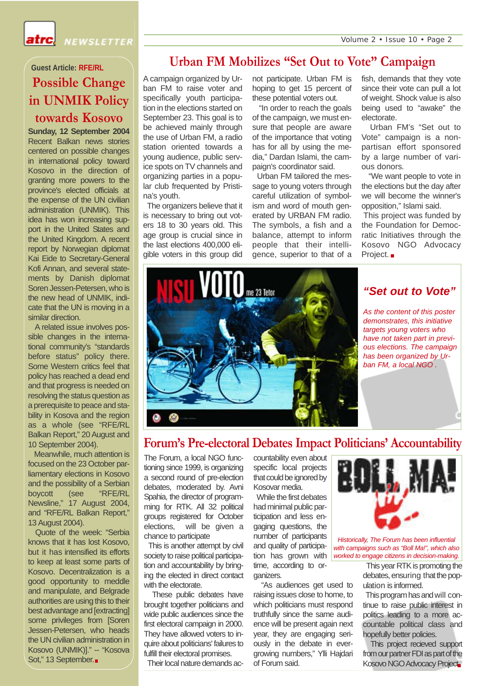atrc.

NEWSLETTER

## **Possible Change in UNMIK Policy towards Kosovo Guest Article: RFE/RL**

**Sunday, 12 September 2004** Recent Balkan news stories centered on possible changes in international policy toward Kosovo in the direction of granting more powers to the province's elected officials at the expense of the UN civilian administration (UNMIK). This idea has won increasing support in the United States and the United Kingdom. A recent report by Norwegian diplomat Kai Eide to Secretary-General Kofi Annan, and several statements by Danish diplomat Soren Jessen-Petersen, who is the new head of UNMIK, indicate that the UN is moving in a similar direction.

A related issue involves possible changes in the international community's "standards before status" policy there. Some Western critics feel that policy has reached a dead end and that progress is needed on resolving the status question as a prerequisite to peace and stability in Kosova and the region as a whole (see "RFE/RL Balkan Report," 20 August and 10 September 2004).

Meanwhile, much attention is focused on the 23 October parliamentary elections in Kosovo and the possibility of a Serbian boycott (see "RFE/RL Newsline," 17 August 2004, and "RFE/RL Balkan Report," 13 August 2004).

Quote of the week: "Serbia knows that it has lost Kosovo, but it has intensified its efforts to keep at least some parts of Kosovo. Decentralization is a good opportunity to meddle and manipulate, and Belgrade authorities are using this to their best advantage and [extracting] some privileges from [Soren] Jessen-Petersen, who heads the UN civilian administration in Kosovo (UNMIK)]." -- "Kosova Sot," 13 September.■

## **Urban FM Mobilizes "Set Out to Vote" Campaign**

A campaign organized by Urban FM to raise voter and specifically youth participation in the elections started on September 23. This goal is to be achieved mainly through the use of Urban FM, a radio station oriented towards a young audience, public service spots on TV channels and organizing parties in a popular club frequented by Pristina's youth.

The organizers believe that it is necessary to bring out voters 18 to 30 years old. This age group is crucial since in the last elections 400,000 eligible voters in this group did not participate. Urban FM is hoping to get 15 percent of these potential voters out.

"In order to reach the goals of the campaign, we must ensure that people are aware of the importance that voting has for all by using the media," Dardan Islami, the campaign's coordinator said.

Urban FM tailored the message to young voters through careful utilization of symbolism and word of mouth generated by URBAN FM radio. The symbols, a fish and a balance, attempt to inform people that their intelligence, superior to that of a fish, demands that they vote since their vote can pull a lot of weight. Shock value is also being used to "awake" the electorate.

Urban FM's "Set out to Vote" campaign is a nonpartisan effort sponsored by a large number of various donors.

"We want people to vote in the elections but the day after we will become the winner's opposition," Islami said.

This project was funded by the Foundation for Democratic Initiatives through the Kosovo NGO Advocacy Project.



### *"Set out to Vote"*

*As the content of this poster demonstrates, this initiative targets young voters who have not taken part in previous elections. The campaign has been organized by Urban FM, a local NGO .*

## **Forum's Pre-electoral Debates Impact Politicians' Accountability**

The Forum, a local NGO functioning since 1999, is organizing a second round of pre-election debates, moderated by. Avni Spahia, the director of programming for RTK. All 32 political groups registered for October elections, will be given a chance to participate

This is another attempt by civil society to raise political participation and accountability by bringing the elected in direct contact with the electorate.

These public debates have brought together politicians and wide public audiences since the first electoral campaign in 2000. They have allowed voters to inquire about politicians' failures to fulfill their electoral promises.

Their local nature demands ac-

countability even about specific local projects that could be ignored by Kosovar media.

While the first debates had minimal public participation and less engaging questions, the number of participants and quality of participation has grown with time, according to organizers.

"As audiences get used to raising issues close to home, to which politicians must respond truthfully since the same audience will be present again next year, they are engaging seriously in the debate in evergrowing numbers," Ylli Hajdari of Forum said.



*Historically, The Forum has been influential with campaigns such as "Boll Ma!", which also worked to engage citizens in decision-making.* 

> This year RTK is promoting the debates, ensuring that the population is informed.

> This program has and will continue to raise public interest in politics leading to a more accountable political class and hopefully better policies.

> This project recieved support from our partner FDI as part of the Kosovo NGO Advocacy Project.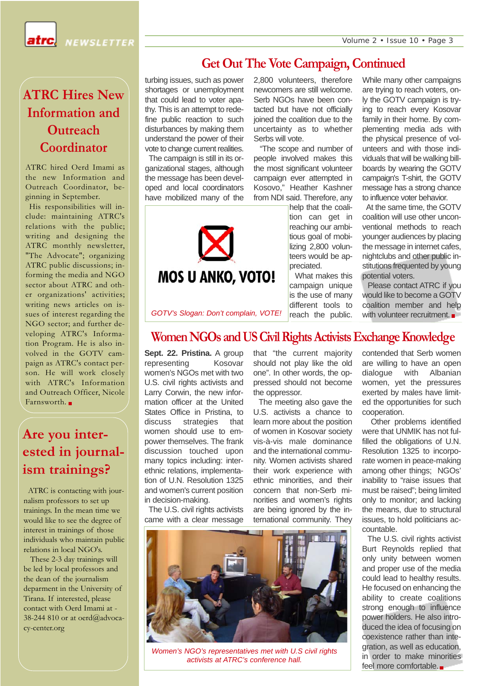Volume 2 • Issue 10 • Page 3

atrc

NEWSLETTER

## **ATRC Hires New Information and Outreach Coordinator**

ATRC hired Oerd Imami as the new Information and Outreach Coordinator, beginning in September.

His responsibilities will include: maintaining ATRC's relations with the public; writing and designing the ATRC monthly newsletter, "The Advocate"; organizing ATRC public discussions; informing the media and NGO sector about ATRC and other organizations' activities; writing news articles on issues of interest regarding the NGO sector; and further developing ATRC's Information Program. He is also involved in the GOTV campaign as ATRC's contact person. He will work closely with ATRC's Information and Outreach Officer, Nicole Farnsworth.

## **Are you interested in journalism trainings?**

ATRC is contacting with journalism professors to set up trainings. In the mean time we would like to see the degree of interest in trainings of those individuals who maintain public relations in local NGO's.

These 2-3 day trainings will be led by local professors and the dean of the journalism deparment in the University of Tirana. If interested, please contact with Oerd Imami at - 38-244 810 or at oerd@advocacy-center.org

## **Get Out The Vote Campaign, Continued**

turbing issues, such as power shortages or unemployment that could lead to voter apathy. This is an attempt to redefine public reaction to such disturbances by making them understand the power of their vote to change current realities. The campaign is still in its organizational stages, although the message has been developed and local coordinators have mobilized many of the



2,800 volunteers, therefore newcomers are still welcome. Serb NGOs have been contacted but have not officially joined the coalition due to the uncertainty as to whether Serbs will vote.

"The scope and number of people involved makes this the most significant volunteer campaign ever attempted in Kosovo," Heather Kashner from NDI said. Therefore, any

help that the coalition can get in reaching our ambitious goal of mobilizing 2,800 volunteers would be appreciated.

What makes this campaign unique is the use of many different tools to reach the public.

While many other campaigns are trying to reach voters, only the GOTV campaign is trying to reach every Kosovar family in their home. By complementing media ads with the physical presence of volunteers and with those individuals that will be walking billboards by wearing the GOTV campaign's T-shirt, the GOTV message has a strong chance to influence voter behavior.

At the same time, the GOTV coalition will use other unconventional methods to reach younger audiences by placing the message in internet cafes, nightclubs and other public institutions frequented by young potential voters.

Please contact ATRC if you would like to become a GOTV coalition member and help with volunteer recruitment.

*GOTV's Slogan: Don't complain, VOTE!*

### **Women NGOs and US Civil Rights Activists Exchange Knowledge**

Sept. 22. Pristina. A group representing Kosovar women's NGOs met with two U.S. civil rights activists and Larry Corwin, the new information officer at the United States Office in Pristina, to discuss strategies that women should use to empower themselves. The frank discussion touched upon many topics including: interethnic relations, implementation of U.N. Resolution 1325 and women's current position in decision-making.

that "the current majority should not play like the old one". In other words, the oppressed should not become the oppressor.

The meeting also gave the U.S. activists a chance to learn more about the position of women in Kosovar society vis-à-vis male dominance and the international community. Women activists shared their work experience with ethnic minorities, and their concern that non-Serb minorities and women's rights are being ignored by the international community. They

contended that Serb women are willing to have an open dialogue with Albanian women, yet the pressures exerted by males have limited the opportunities for such cooperation.

Other problems identified were that UNMIK has not fulfilled the obligations of U.N. Resolution 1325 to incorporate women in peace-making among other things; NGOs' inability to "raise issues that must be raised"; being limited only to monitor; and lacking the means, due to structural issues, to hold politicians accountable.

The U.S. civil rights activist Burt Reynolds replied that only unity between women and proper use of the media could lead to healthy results. He focused on enhancing the ability to create coalitions strong enough to influence power holders. He also introduced the idea of focusing on coexistence rather than integration, as well as education, in order to make minorities feel more comfortable.

The U.S. civil rights activists came with a clear message



*Women's NGO's representatives met with U.S civil rights activists at ATRC's conference hall.*